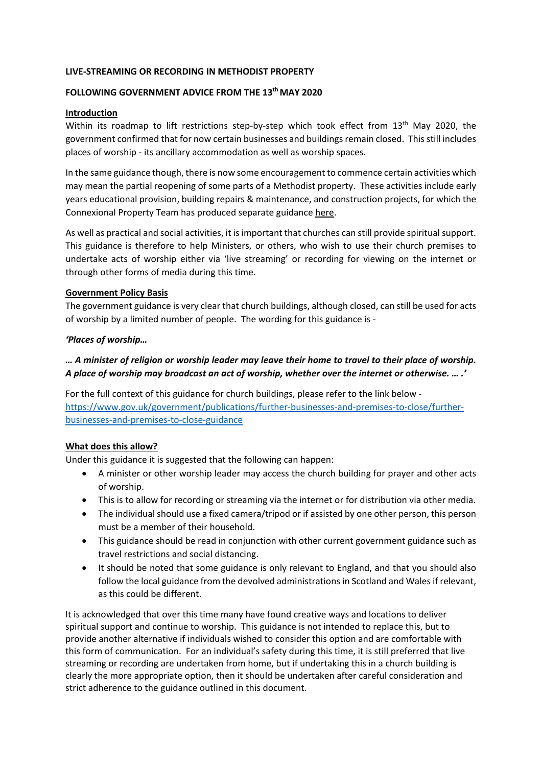### **LIVE-STREAMING OR RECORDING IN METHODIST PROPERTY**

### **FOLLOWING GOVERNMENT ADVICE FROM THE 13th MAY 2020**

#### **Introduction**

Within its roadmap to lift restrictions step-by-step which took effect from 13<sup>th</sup> May 2020, the government confirmed that for now certain businesses and buildings remain closed. This still includes places of worship - its ancillary accommodation as well as worship spaces.

In the same guidance though, there is now some encouragement to commence certain activities which may mean the partial reopening of some parts of a Methodist property. These activities include early years educational provision, building repairs & maintenance, and construction projects, for which the Connexional Property Team has produced separate guidance [here.](https://www.methodist.org.uk/for-churches/property/coronavirus-guidance-for-property/)

As well as practical and social activities, it is important that churches can still provide spiritual support. This guidance is therefore to help Ministers, or others, who wish to use their church premises to undertake acts of worship either via 'live streaming' or recording for viewing on the internet or through other forms of media during this time.

#### **Government Policy Basis**

The government guidance is very clear that church buildings, although closed, can still be used for acts of worship by a limited number of people. The wording for this guidance is -

#### *'Places of worship…*

# *… A minister of religion or worship leader may leave their home to travel to their place of worship. A place of worship may broadcast an act of worship, whether over the internet or otherwise. … .'*

For the full context of this guidance for church buildings, please refer to the link below [https://www.gov.uk/government/publications/further-businesses-and-premises-to-close/further](https://www.gov.uk/government/publications/further-businesses-and-premises-to-close/further-businesses-and-premises-to-close-guidance)[businesses-and-premises-to-close-guidance](https://www.gov.uk/government/publications/further-businesses-and-premises-to-close/further-businesses-and-premises-to-close-guidance)

### **What does this allow?**

Under this guidance it is suggested that the following can happen:

- A minister or other worship leader may access the church building for prayer and other acts of worship.
- This is to allow for recording or streaming via the internet or for distribution via other media.
- The individual should use a fixed camera/tripod or if assisted by one other person, this person must be a member of their household.
- This guidance should be read in conjunction with other current government guidance such as travel restrictions and social distancing.
- It should be noted that some guidance is only relevant to England, and that you should also follow the local guidance from the devolved administrations in Scotland and Wales if relevant, as this could be different.

It is acknowledged that over this time many have found creative ways and locations to deliver spiritual support and continue to worship. This guidance is not intended to replace this, but to provide another alternative if individuals wished to consider this option and are comfortable with this form of communication. For an individual's safety during this time, it is still preferred that live streaming or recording are undertaken from home, but if undertaking this in a church building is clearly the more appropriate option, then it should be undertaken after careful consideration and strict adherence to the guidance outlined in this document.